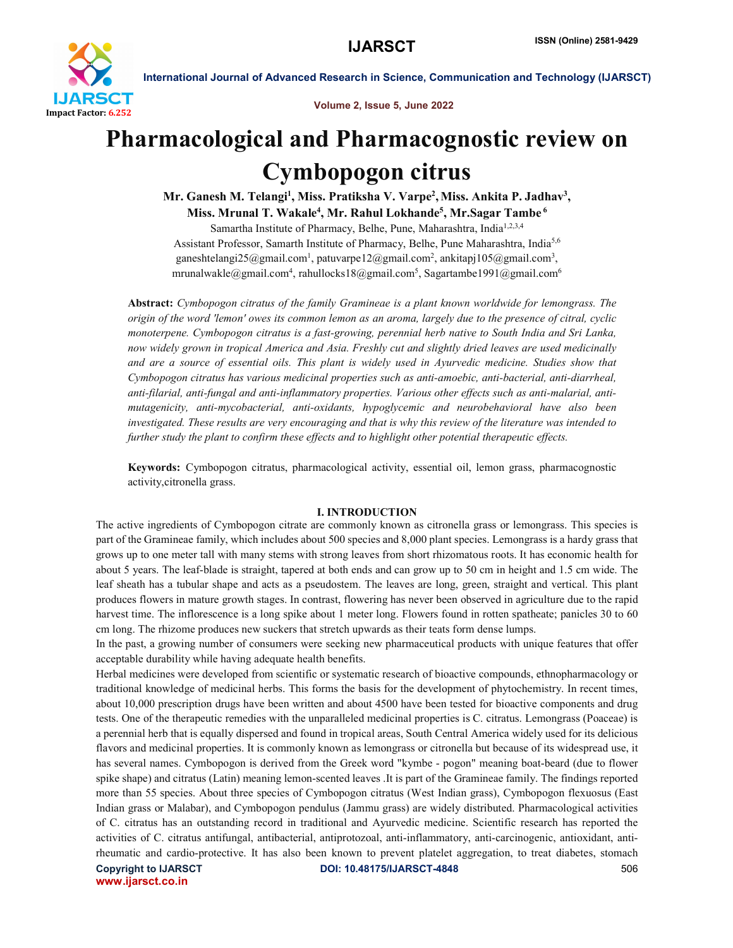

Volume 2, Issue 5, June 2022

# Pharmacological and Pharmacognostic review on Cymbopogon citrus

Mr. Ganesh M. Telangi<sup>1</sup>, Miss. Pratiksha V. Varpe<sup>2</sup>, Miss. Ankita P. Jadhav<sup>3</sup>, Miss. Mrunal T. Wakale<sup>4</sup>, Mr. Rahul Lokhande<sup>5</sup>, Mr.Sagar Tambe <sup>6</sup>

Samartha Institute of Pharmacy, Belhe, Pune, Maharashtra, India<sup>1,2,3,4</sup> Assistant Professor, Samarth Institute of Pharmacy, Belhe, Pune Maharashtra, India<sup>5,6</sup> ganeshtelangi25@gmail.com<sup>1</sup>, patuvarpe12@gmail.com<sup>2</sup>, ankitapj105@gmail.com<sup>3</sup>, mrunalwakle@gmail.com<sup>4</sup>, rahullocks18@gmail.com<sup>5</sup>, Sagartambe1991@gmail.com<sup>6</sup>

Abstract: *Cymbopogon citratus of the family Gramineae is a plant known worldwide for lemongrass. The origin of the word 'lemon' owes its common lemon as an aroma, largely due to the presence of citral, cyclic monoterpene. Cymbopogon citratus is a fast-growing, perennial herb native to South India and Sri Lanka, now widely grown in tropical America and Asia. Freshly cut and slightly dried leaves are used medicinally and are a source of essential oils. This plant is widely used in Ayurvedic medicine. Studies show that Cymbopogon citratus has various medicinal properties such as anti-amoebic, anti-bacterial, anti-diarrheal, anti-filarial, anti-fungal and anti-inflammatory properties. Various other effects such as anti-malarial, antimutagenicity, anti-mycobacterial, anti-oxidants, hypoglycemic and neurobehavioral have also been investigated. These results are very encouraging and that is why this review of the literature was intended to further study the plant to confirm these effects and to highlight other potential therapeutic effects.*

Keywords: Cymbopogon citratus, pharmacological activity, essential oil, lemon grass, pharmacognostic activity,citronella grass.

# I. INTRODUCTION

The active ingredients of Cymbopogon citrate are commonly known as citronella grass or lemongrass. This species is part of the Gramineae family, which includes about 500 species and 8,000 plant species. Lemongrass is a hardy grass that grows up to one meter tall with many stems with strong leaves from short rhizomatous roots. It has economic health for about 5 years. The leaf-blade is straight, tapered at both ends and can grow up to 50 cm in height and 1.5 cm wide. The leaf sheath has a tubular shape and acts as a pseudostem. The leaves are long, green, straight and vertical. This plant produces flowers in mature growth stages. In contrast, flowering has never been observed in agriculture due to the rapid harvest time. The inflorescence is a long spike about 1 meter long. Flowers found in rotten spatheate; panicles 30 to 60 cm long. The rhizome produces new suckers that stretch upwards as their teats form dense lumps.

In the past, a growing number of consumers were seeking new pharmaceutical products with unique features that offer acceptable durability while having adequate health benefits.

Herbal medicines were developed from scientific or systematic research of bioactive compounds, ethnopharmacology or traditional knowledge of medicinal herbs. This forms the basis for the development of phytochemistry. In recent times, about 10,000 prescription drugs have been written and about 4500 have been tested for bioactive components and drug tests. One of the therapeutic remedies with the unparalleled medicinal properties is C. citratus. Lemongrass (Poaceae) is a perennial herb that is equally dispersed and found in tropical areas, South Central America widely used for its delicious flavors and medicinal properties. It is commonly known as lemongrass or citronella but because of its widespread use, it has several names. Cymbopogon is derived from the Greek word "kymbe - pogon" meaning boat-beard (due to flower spike shape) and citratus (Latin) meaning lemon-scented leaves .It is part of the Gramineae family. The findings reported more than 55 species. About three species of Cymbopogon citratus (West Indian grass), Cymbopogon flexuosus (East Indian grass or Malabar), and Cymbopogon pendulus (Jammu grass) are widely distributed. Pharmacological activities of C. citratus has an outstanding record in traditional and Ayurvedic medicine. Scientific research has reported the activities of C. citratus antifungal, antibacterial, antiprotozoal, anti-inflammatory, anti-carcinogenic, antioxidant, antirheumatic and cardio-protective. It has also been known to prevent platelet aggregation, to treat diabetes, stomach

www.ijarsct.co.in

Copyright to IJARSCT DOI: 10.48175/IJARSCT-4848 506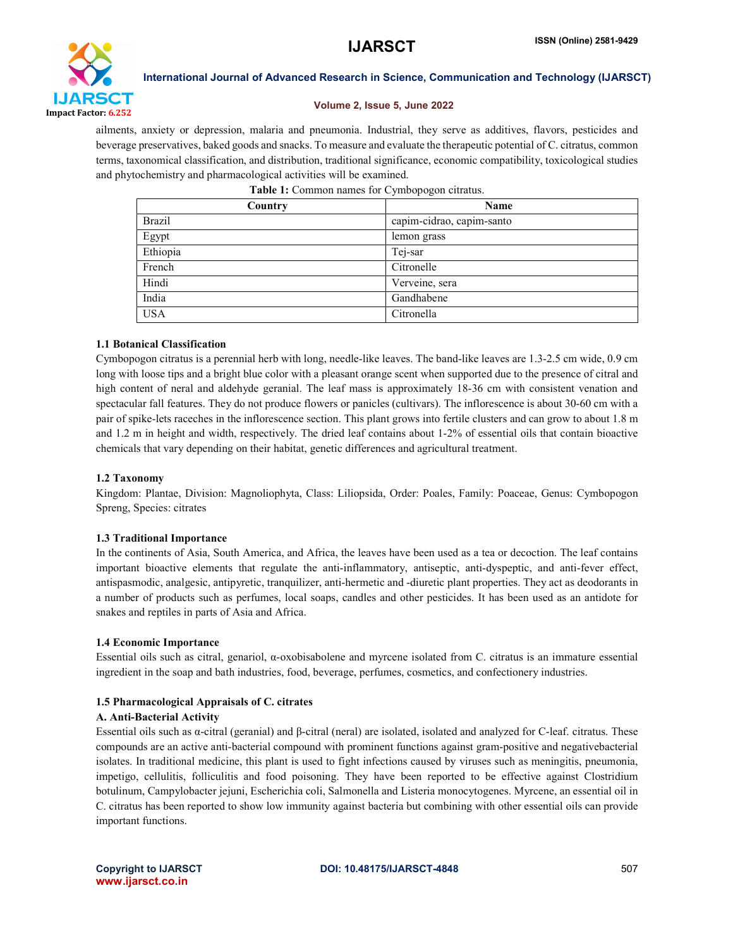

# Volume 2, Issue 5, June 2022

ailments, anxiety or depression, malaria and pneumonia. Industrial, they serve as additives, flavors, pesticides and beverage preservatives, baked goods and snacks. To measure and evaluate the therapeutic potential of C. citratus, common terms, taxonomical classification, and distribution, traditional significance, economic compatibility, toxicological studies and phytochemistry and pharmacological activities will be examined.

| Country       | Name                      |  |  |
|---------------|---------------------------|--|--|
| <b>Brazil</b> | capim-cidrao, capim-santo |  |  |
| Egypt         | lemon grass               |  |  |
| Ethiopia      | Tej-sar                   |  |  |
| French        | Citronelle                |  |  |
| Hindi         | Verveine, sera            |  |  |
| India         | Gandhabene                |  |  |
| <b>USA</b>    | Citronella                |  |  |

| Table 1: Common names for Cymbopogon citratus. |  |  |  |
|------------------------------------------------|--|--|--|
|------------------------------------------------|--|--|--|

# 1.1 Botanical Classification

Cymbopogon citratus is a perennial herb with long, needle-like leaves. The band-like leaves are 1.3-2.5 cm wide, 0.9 cm long with loose tips and a bright blue color with a pleasant orange scent when supported due to the presence of citral and high content of neral and aldehyde geranial. The leaf mass is approximately 18-36 cm with consistent venation and spectacular fall features. They do not produce flowers or panicles (cultivars). The inflorescence is about 30-60 cm with a pair of spike-lets raceches in the inflorescence section. This plant grows into fertile clusters and can grow to about 1.8 m and 1.2 m in height and width, respectively. The dried leaf contains about 1-2% of essential oils that contain bioactive chemicals that vary depending on their habitat, genetic differences and agricultural treatment.

# 1.2 Taxonomy

Kingdom: Plantae, Division: Magnoliophyta, Class: Liliopsida, Order: Poales, Family: Poaceae, Genus: Cymbopogon Spreng, Species: citrates

# 1.3 Traditional Importance

In the continents of Asia, South America, and Africa, the leaves have been used as a tea or decoction. The leaf contains important bioactive elements that regulate the anti-inflammatory, antiseptic, anti-dyspeptic, and anti-fever effect, antispasmodic, analgesic, antipyretic, tranquilizer, anti-hermetic and -diuretic plant properties. They act as deodorants in a number of products such as perfumes, local soaps, candles and other pesticides. It has been used as an antidote for snakes and reptiles in parts of Asia and Africa.

# 1.4 Economic Importance

Essential oils such as citral, genariol, α-oxobisabolene and myrcene isolated from C. citratus is an immature essential ingredient in the soap and bath industries, food, beverage, perfumes, cosmetics, and confectionery industries.

# 1.5 Pharmacological Appraisals of C. citrates

# A. Anti-Bacterial Activity

Essential oils such as α-citral (geranial) and β-citral (neral) are isolated, isolated and analyzed for C-leaf. citratus. These compounds are an active anti-bacterial compound with prominent functions against gram-positive and negativebacterial isolates. In traditional medicine, this plant is used to fight infections caused by viruses such as meningitis, pneumonia, impetigo, cellulitis, folliculitis and food poisoning. They have been reported to be effective against Clostridium botulinum, Campylobacter jejuni, Escherichia coli, Salmonella and Listeria monocytogenes. Myrcene, an essential oil in C. citratus has been reported to show low immunity against bacteria but combining with other essential oils can provide important functions.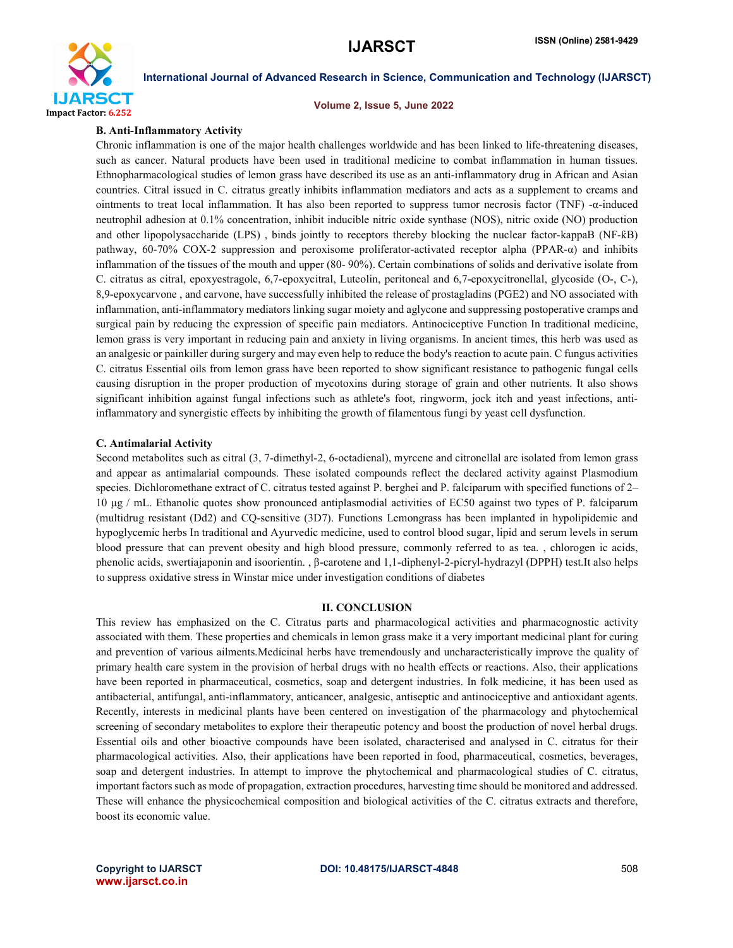

### Volume 2, Issue 5, June 2022

#### B. Anti-Inflammatory Activity

Chronic inflammation is one of the major health challenges worldwide and has been linked to life-threatening diseases, such as cancer. Natural products have been used in traditional medicine to combat inflammation in human tissues. Ethnopharmacological studies of lemon grass have described its use as an anti-inflammatory drug in African and Asian countries. Citral issued in C. citratus greatly inhibits inflammation mediators and acts as a supplement to creams and ointments to treat local inflammation. It has also been reported to suppress tumor necrosis factor (TNF) -α-induced neutrophil adhesion at 0.1% concentration, inhibit inducible nitric oxide synthase (NOS), nitric oxide (NO) production and other lipopolysaccharide (LPS) , binds jointly to receptors thereby blocking the nuclear factor-kappaB (NF-ƙB) pathway, 60-70% COX-2 suppression and peroxisome proliferator-activated receptor alpha (PPAR-α) and inhibits inflammation of the tissues of the mouth and upper (80- 90%). Certain combinations of solids and derivative isolate from C. citratus as citral, epoxyestragole, 6,7-epoxycitral, Luteolin, peritoneal and 6,7-epoxycitronellal, glycoside (O-, C-), 8,9-epoxycarvone , and carvone, have successfully inhibited the release of prostagladins (PGE2) and NO associated with inflammation, anti-inflammatory mediators linking sugar moiety and aglycone and suppressing postoperative cramps and surgical pain by reducing the expression of specific pain mediators. Antinociceptive Function In traditional medicine, lemon grass is very important in reducing pain and anxiety in living organisms. In ancient times, this herb was used as an analgesic or painkiller during surgery and may even help to reduce the body's reaction to acute pain. C fungus activities C. citratus Essential oils from lemon grass have been reported to show significant resistance to pathogenic fungal cells causing disruption in the proper production of mycotoxins during storage of grain and other nutrients. It also shows significant inhibition against fungal infections such as athlete's foot, ringworm, jock itch and yeast infections, antiinflammatory and synergistic effects by inhibiting the growth of filamentous fungi by yeast cell dysfunction.

#### C. Antimalarial Activity

Second metabolites such as citral (3, 7-dimethyl-2, 6-octadienal), myrcene and citronellal are isolated from lemon grass and appear as antimalarial compounds. These isolated compounds reflect the declared activity against Plasmodium species. Dichloromethane extract of C. citratus tested against P. berghei and P. falciparum with specified functions of 2– 10 μg / mL. Ethanolic quotes show pronounced antiplasmodial activities of EC50 against two types of P. falciparum (multidrug resistant (Dd2) and CQ-sensitive (3D7). Functions Lemongrass has been implanted in hypolipidemic and hypoglycemic herbs In traditional and Ayurvedic medicine, used to control blood sugar, lipid and serum levels in serum blood pressure that can prevent obesity and high blood pressure, commonly referred to as tea. , chlorogen ic acids, phenolic acids, swertiajaponin and isoorientin. , β-carotene and 1,1-diphenyl-2-picryl-hydrazyl (DPPH) test.It also helps to suppress oxidative stress in Winstar mice under investigation conditions of diabetes

# II. CONCLUSION

This review has emphasized on the C. Citratus parts and pharmacological activities and pharmacognostic activity associated with them. These properties and chemicals in lemon grass make it a very important medicinal plant for curing and prevention of various ailments.Medicinal herbs have tremendously and uncharacteristically improve the quality of primary health care system in the provision of herbal drugs with no health effects or reactions. Also, their applications have been reported in pharmaceutical, cosmetics, soap and detergent industries. In folk medicine, it has been used as antibacterial, antifungal, anti-inflammatory, anticancer, analgesic, antiseptic and antinociceptive and antioxidant agents. Recently, interests in medicinal plants have been centered on investigation of the pharmacology and phytochemical screening of secondary metabolites to explore their therapeutic potency and boost the production of novel herbal drugs. Essential oils and other bioactive compounds have been isolated, characterised and analysed in C. citratus for their pharmacological activities. Also, their applications have been reported in food, pharmaceutical, cosmetics, beverages, soap and detergent industries. In attempt to improve the phytochemical and pharmacological studies of C. citratus, important factors such as mode of propagation, extraction procedures, harvesting time should be monitored and addressed. These will enhance the physicochemical composition and biological activities of the C. citratus extracts and therefore, boost its economic value.

www.ijarsct.co.in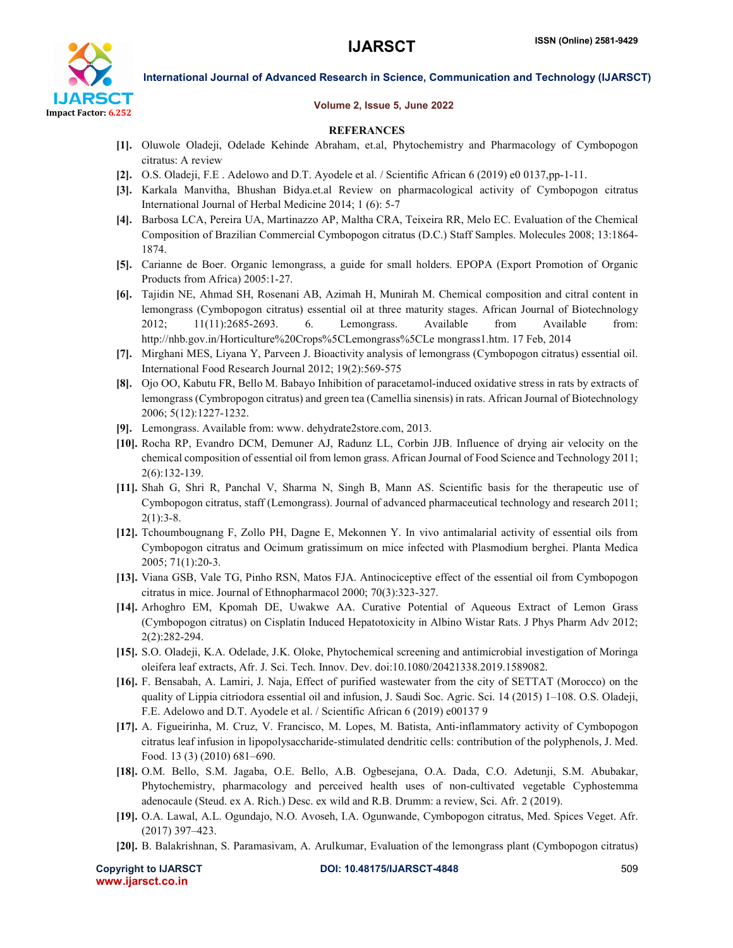

### Volume 2, Issue 5, June 2022

### REFERANCES

- [1]. Oluwole Oladeji, Odelade Kehinde Abraham, et.al, Phytochemistry and Pharmacology of Cymbopogon citratus: A review
- [2]. O.S. Oladeji, F.E . Adelowo and D.T. Ayodele et al. / Scientific African 6 (2019) e0 0137,pp-1-11.
- [3]. Karkala Manvitha, Bhushan Bidya.et.al Review on pharmacological activity of Cymbopogon citratus International Journal of Herbal Medicine 2014; 1 (6): 5-7
- [4]. Barbosa LCA, Pereira UA, Martinazzo AP, Maltha CRA, Teixeira RR, Melo EC. Evaluation of the Chemical Composition of Brazilian Commercial Cymbopogon citratus (D.C.) Staff Samples. Molecules 2008; 13:1864- 1874.
- [5]. Carianne de Boer. Organic lemongrass, a guide for small holders. EPOPA (Export Promotion of Organic Products from Africa) 2005:1-27.
- [6]. Tajidin NE, Ahmad SH, Rosenani AB, Azimah H, Munirah M. Chemical composition and citral content in lemongrass (Cymbopogon citratus) essential oil at three maturity stages. African Journal of Biotechnology 2012; 11(11):2685-2693. 6. Lemongrass. Available from Available from: http://nhb.gov.in/Horticulture%20Crops%5CLemongrass%5CLe mongrass1.htm. 17 Feb, 2014
- [7]. Mirghani MES, Liyana Y, Parveen J. Bioactivity analysis of lemongrass (Cymbopogon citratus) essential oil. International Food Research Journal 2012; 19(2):569-575
- [8]. Ojo OO, Kabutu FR, Bello M. Babayo Inhibition of paracetamol-induced oxidative stress in rats by extracts of lemongrass (Cymbropogon citratus) and green tea (Camellia sinensis) in rats. African Journal of Biotechnology 2006; 5(12):1227-1232.
- [9]. Lemongrass. Available from: www. dehydrate2store.com, 2013.
- [10]. Rocha RP, Evandro DCM, Demuner AJ, Radunz LL, Corbin JJB. Influence of drying air velocity on the chemical composition of essential oil from lemon grass. African Journal of Food Science and Technology 2011; 2(6):132-139.
- [11]. Shah G, Shri R, Panchal V, Sharma N, Singh B, Mann AS. Scientific basis for the therapeutic use of Cymbopogon citratus, staff (Lemongrass). Journal of advanced pharmaceutical technology and research 2011;  $2(1):3-8.$
- [12]. Tchoumbougnang F, Zollo PH, Dagne E, Mekonnen Y. In vivo antimalarial activity of essential oils from Cymbopogon citratus and Ocimum gratissimum on mice infected with Plasmodium berghei. Planta Medica 2005; 71(1):20-3.
- [13]. Viana GSB, Vale TG, Pinho RSN, Matos FJA. Antinociceptive effect of the essential oil from Cymbopogon citratus in mice. Journal of Ethnopharmacol 2000; 70(3):323-327.
- [14]. Arhoghro EM, Kpomah DE, Uwakwe AA. Curative Potential of Aqueous Extract of Lemon Grass (Cymbopogon citratus) on Cisplatin Induced Hepatotoxicity in Albino Wistar Rats. J Phys Pharm Adv 2012; 2(2):282-294.
- [15]. S.O. Oladeji, K.A. Odelade, J.K. Oloke, Phytochemical screening and antimicrobial investigation of Moringa oleifera leaf extracts, Afr. J. Sci. Tech. Innov. Dev. doi:10.1080/20421338.2019.1589082.
- [16]. F. Bensabah, A. Lamiri, J. Naja, Effect of purified wastewater from the city of SETTAT (Morocco) on the quality of Lippia citriodora essential oil and infusion, J. Saudi Soc. Agric. Sci. 14 (2015) 1–108. O.S. Oladeji, F.E. Adelowo and D.T. Ayodele et al. / Scientific African 6 (2019) e00137 9
- [17]. A. Figueirinha, M. Cruz, V. Francisco, M. Lopes, M. Batista, Anti-inflammatory activity of Cymbopogon citratus leaf infusion in lipopolysaccharide-stimulated dendritic cells: contribution of the polyphenols, J. Med. Food. 13 (3) (2010) 681–690.
- [18]. O.M. Bello, S.M. Jagaba, O.E. Bello, A.B. Ogbesejana, O.A. Dada, C.O. Adetunji, S.M. Abubakar, Phytochemistry, pharmacology and perceived health uses of non-cultivated vegetable Cyphostemma adenocaule (Steud. ex A. Rich.) Desc. ex wild and R.B. Drumm: a review, Sci. Afr. 2 (2019).
- [19]. O.A. Lawal, A.L. Ogundajo, N.O. Avoseh, I.A. Ogunwande, Cymbopogon citratus, Med. Spices Veget. Afr. (2017) 397–423.
- [20]. B. Balakrishnan, S. Paramasivam, A. Arulkumar, Evaluation of the lemongrass plant (Cymbopogon citratus)

www.ijarsct.co.in